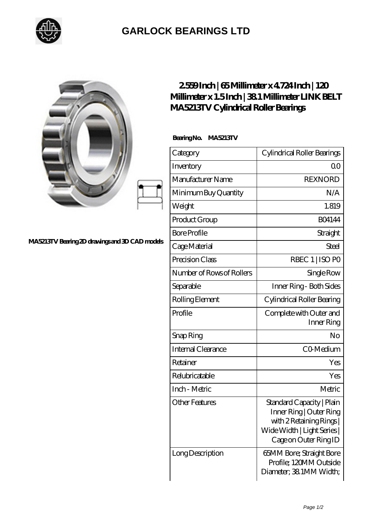

## **[GARLOCK BEARINGS LTD](https://m.letterstopriests.com)**

|                                                | 2559Inch   65Millimeter x 4724Inch   120<br>MA5213TV Cylindrical Roller Bearings | Millimeter x 1.5Inch   381 Millimeter LINK BELT                                                                                        |
|------------------------------------------------|----------------------------------------------------------------------------------|----------------------------------------------------------------------------------------------------------------------------------------|
| MA5213TV Bearing 2D drawings and 3D CAD models | BearingNo.<br>MA5213TV                                                           |                                                                                                                                        |
|                                                | Category                                                                         | Cylindrical Roller Bearings                                                                                                            |
|                                                | Inventory                                                                        | 0 <sup>0</sup>                                                                                                                         |
|                                                | Manufacturer Name                                                                | <b>REXNORD</b>                                                                                                                         |
|                                                | Minimum Buy Quantity                                                             | N/A                                                                                                                                    |
|                                                | Weight                                                                           | 1.819                                                                                                                                  |
|                                                | Product Group                                                                    | <b>BO4144</b>                                                                                                                          |
|                                                | <b>Bore Profile</b>                                                              | Straight                                                                                                                               |
|                                                | Cage Material                                                                    | Steel                                                                                                                                  |
|                                                | Precision Class                                                                  | RBEC 1   ISO PO                                                                                                                        |
|                                                | Number of Rows of Rollers                                                        | Single Row                                                                                                                             |
|                                                | Separable                                                                        | Inner Ring - Both Sides                                                                                                                |
|                                                | Rolling Element                                                                  | Cylindrical Roller Bearing                                                                                                             |
|                                                | Profile                                                                          | Complete with Outer and<br>Inner Ring                                                                                                  |
|                                                | Snap Ring                                                                        | No                                                                                                                                     |
|                                                | Internal Clearance                                                               | CO-Medium                                                                                                                              |
|                                                | Retainer                                                                         | Yes                                                                                                                                    |
|                                                | Relubricatable                                                                   | Yes                                                                                                                                    |
|                                                | Inch - Metric                                                                    | Metric                                                                                                                                 |
|                                                | <b>Other Features</b>                                                            | Standard Capacity   Plain<br>Inner Ring   Outer Ring<br>with 2 Retaining Rings<br>Wide Width   Light Series  <br>Cage on Outer Ring ID |
|                                                | Long Description                                                                 | 65MM Bore; Straight Bore<br>Profile; 120MM Outside<br>Diameter; 38 1MM Width;                                                          |